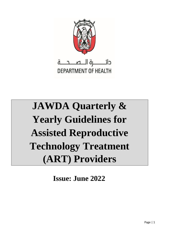

# **JAWDA Quarterly & Yearly Guidelines for Assisted Reproductive Technology Treatment (ART) Providers**

**Issue: June 2022**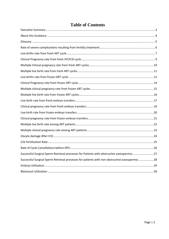|  | <b>Table of Contents</b> |
|--|--------------------------|
|  |                          |

| Successful Surgical Sperm Retrieval processes for Patients with obstructive azoospermia27      |
|------------------------------------------------------------------------------------------------|
| Successful Surgical Sperm Retrieval processes for patients with non-obstructive azoospermia 28 |
|                                                                                                |
|                                                                                                |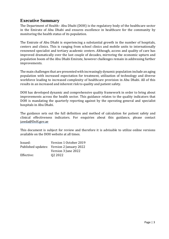# <span id="page-2-0"></span>**Executive Summary**

The Department of Health– Abu Dhabi (DOH) is the regulatory body of the healthcare sector in the Emirate of Abu Dhabi and ensures excellence in healthcare for the community by monitoring the health status of its population.

The Emirate of Abu Dhabi is experiencing a substantial growth in the number of hospitals, centers and clinics. This is ranging from school clinics and mobile units to internationally renowned specialist and tertiary academic centers. Although, access and quality of care has improved dramatically over the last couple of decades, mirroring the economic upturn and population boom of the Abu Dhabi Emirate, however challenges remain in addressing further improvements.

The main challenges that are presented with increasingly dynamic population include an aging population with increased expectation for treatment, utilization of technology and diverse workforce leading to increased complexity of healthcare provision in Abu Dhabi. All of this results in an increased and inherent risk to quality and patient safety.

DOH has developed dynamic and comprehensive quality framework in order to bring about improvements across the health sector. This guidance relates to the quality indicators that DOH is mandating the quarterly reporting against by the operating general and specialist hospitals in Abu Dhabi.

The guidance sets out the full definition and method of calculation for patient safety and clinical effectiveness indicators. For enquiries about this guidance, please contact jawda@DoH.gov.ae

This document is subject for review and therefore it is advisable to utilize online versions available on the DOH website at all times.

| Issued:    | Version 1 October 2019                    |
|------------|-------------------------------------------|
|            | Published updates: Version 2 January 2022 |
|            | Version 3 June 2022                       |
| Effective: | Q <sub>2</sub> 20 <sub>22</sub>           |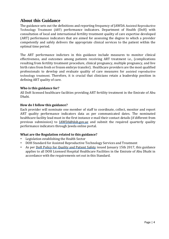# <span id="page-3-0"></span>**About this Guidance**

The guidance sets out the definitions and reporting frequency of JAWDA Assisted Reproductive Technology Treatment (ART) performance indicators. Department of Health (DoH) with consultation of local and international fertility treatment quality of care expertise developed (ART) performance indicators that are aimed for assessing the degree to which a provider competently and safely delivers the appropriate clinical services to the patient within the optimal time period.

The ART performance indictors in this guidance include measures to monitor clinical effectiveness, and outcomes among patients receiving ART treatment i.e., (complications resulting from fertility treatment procedure, clinical pregnancy, multiple pregnancy, and live birth rates from fresh or frozen embryo transfer). Healthcare providers are the most qualified professionals to develop and evaluate quality of care measures for assisted reproductive technology treatment. Therefore, it is crucial that clinicians retain a leadership position in defining ART quality of care.

#### **Who is this guidance for?**

All DoH licensed healthcare facilities providing ART fertility treatment in the Emirate of Abu Dhabi.

#### **How do I follow this guidance?**

Each provider will nominate one member of staff to coordinate, collect, monitor and report ART quality performance indicators data as per communicated dates. The nominated healthcare facility lead must in the first instance e-mail their contact details (if different from previous submission) to *JAWDA@doh.gov.ae* and submit the required quarterly quality performance indicators through Jawda online portal.

#### **What are the Regulation related to this guidance?**

- Legislation establishing the Health Sector
- [DOH Standard for Assisted Reproductive Technology Services and Treatment](https://www.haad.ae/HAAD/LinkClick.aspx?fileticket=mNBXnr6gFYQ%3D&tabid=819)
- As per [DoH Policy for Quality and Patient Safety](https://www.haad.ae/HAAD/LinkClick.aspx?fileticket=Jrh93s-AyUA%3d&tabid=1276) [i](https://www.haad.ae/HAAD/LinkClick.aspx?fileticket=Jrh93s-AyUA%3d&tabid=1276)ssued January 15th 2017, this guidance applies to all DOH Licensed Hospital Healthcare Facilities in the Emirate of Abu Dhabi in accordance with the requirements set out in this Standard.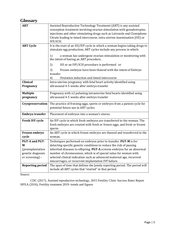# <span id="page-4-0"></span>**Glossary**

| <b>ART</b>                           | Assisted Reproductive Technology Treatment (ART) is any assisted<br>conception treatment involving ovarian stimulation with gonadotropins<br>injections and other stimulating drugs such as Letrozole and Clomiphene<br>Citrate leading to timed intercourse, intra uterine insemination (IUI) or |  |
|--------------------------------------|---------------------------------------------------------------------------------------------------------------------------------------------------------------------------------------------------------------------------------------------------------------------------------------------------|--|
|                                      | IVF/ICSI.                                                                                                                                                                                                                                                                                         |  |
| <b>ART Cycle</b>                     | It is the start of an IUI/IVF cycle in which a woman begins taking drugs to<br>stimulate egg production; ART cycles include any process in which:                                                                                                                                                 |  |
|                                      | a woman has undergone ovarian stimulation or monitoring with<br>1)<br>the intent of having an ART procedure,                                                                                                                                                                                      |  |
|                                      | IUI or an IVF/ICSI procedure is performed or<br>2)                                                                                                                                                                                                                                                |  |
|                                      | Frozen embryos have been thawed with the intent of Embryo<br>3)<br>transfer                                                                                                                                                                                                                       |  |
|                                      | Ovulation induction and timed intercourse<br>4)                                                                                                                                                                                                                                                   |  |
| <b>Clinical</b><br>Pregnancy         | Intra-uterine pregnancy with fetal heart activity identified using<br>ultrasound 4-5 weeks after embryo transfer                                                                                                                                                                                  |  |
| <b>Multiple</b><br>pregnancy         | Pregnancy with $\geq$ 2 pulsating intrauterine fetal hearts identified using<br>ultrasound 4-5 weeks after embryo transfer                                                                                                                                                                        |  |
| Cryopreservation                     | The practice of freezing eggs, sperm or embryos from a patient cycle for<br>potential future use in ART cycles.                                                                                                                                                                                   |  |
| <b>Embryo transfer</b>               | Placement of embryos into a woman's uterus.                                                                                                                                                                                                                                                       |  |
| <b>Fresh IVF cycle</b>               | An IVF cycle in which fresh embryos are transferred to the woman. The<br>fresh embryos are created with fresh or frozen eggs, and fresh or frozen<br>sperm                                                                                                                                        |  |
| Frozen embryo<br>cycle               | An ART cycle in which frozen embryos are thawed and transferred to the<br>woman.                                                                                                                                                                                                                  |  |
| <b>PGT-A and PGT-</b>                | Techniques performed on embryos prior to transfer. PGT-M is for                                                                                                                                                                                                                                   |  |
| M                                    | detecting specific genetic conditions to reduce the risk of passing                                                                                                                                                                                                                               |  |
| (preimplantation                     | inherited diseases to offspring. <b>PGT-A</b> screens embryos for an abnormal                                                                                                                                                                                                                     |  |
| genetic diagnosis<br>or screening) - | number of chromosomes, which is of special value for women with<br>selected clinical indication such as advanced maternal age, recurrent                                                                                                                                                          |  |
|                                      | miscarriages, or recurrent implantation IVF failure.                                                                                                                                                                                                                                              |  |
| <b>Reporting period</b>              | The span of time that defines the Jawda reporting period. The period will<br>include all ART cycles that "started" in that period.                                                                                                                                                                |  |

Source:

CDC (2017), Assisted reproductive technology, 2015 Fertility Clinic Success Rates Report HFEA (2016), Fertility treatment 2019- trends and figures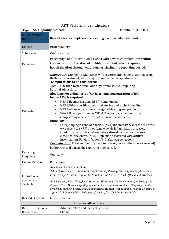#### <span id="page-5-0"></span>ART Performance Indicators

| <b>Type: ART Quality Indicator</b><br>Number: ART001 |                                                                                                                                                                                                                                                                                                                                                                                                                                                                                                                                                                                                                                                                                                                                                                                                                                                                                                                                                                                                                                                                                                                                                                                 |  |
|------------------------------------------------------|---------------------------------------------------------------------------------------------------------------------------------------------------------------------------------------------------------------------------------------------------------------------------------------------------------------------------------------------------------------------------------------------------------------------------------------------------------------------------------------------------------------------------------------------------------------------------------------------------------------------------------------------------------------------------------------------------------------------------------------------------------------------------------------------------------------------------------------------------------------------------------------------------------------------------------------------------------------------------------------------------------------------------------------------------------------------------------------------------------------------------------------------------------------------------------|--|
| <b>KPI Description</b><br>(title):                   | Rate of severe complications resulting from fertility treatment                                                                                                                                                                                                                                                                                                                                                                                                                                                                                                                                                                                                                                                                                                                                                                                                                                                                                                                                                                                                                                                                                                                 |  |
| Domain                                               | <b>Patient Safety</b>                                                                                                                                                                                                                                                                                                                                                                                                                                                                                                                                                                                                                                                                                                                                                                                                                                                                                                                                                                                                                                                                                                                                                           |  |
| Sub-domain                                           | Complication                                                                                                                                                                                                                                                                                                                                                                                                                                                                                                                                                                                                                                                                                                                                                                                                                                                                                                                                                                                                                                                                                                                                                                    |  |
| Definition:                                          | Percentage of all started ART cycles with severe complications within<br>two weeks from the start of fertility treatment, which requires<br>hospitalization through emergencies, during the reporting period.                                                                                                                                                                                                                                                                                                                                                                                                                                                                                                                                                                                                                                                                                                                                                                                                                                                                                                                                                                   |  |
| Calculation:                                         | <b>Numerator:</b> Number of ART cycles with severe complications resulting from<br>the fertility treatment, which requires unplanned hospitalization.<br><b>Complications to be considered:</b><br>(N98.1) Ovarian hyper-stimulation syndrome (OHSS) requiring<br>hospital admission.<br>Bleeding: For a diagnosis of OHSS, a hemoconcentration of HCT<br>below 45% is required.<br>N83.6 Haematosalpinx, N85.7 Hematomata,<br>N93.8 Other specified abnormal uterine and vaginal bleeding<br>$\bullet$<br>N93.9 Abnormal uterine and vaginal bleeding, unspecified<br>$\bullet$<br>K66.1 Haemoperitoneum, T81.0 Haemorrhage and hematoma<br>$\bullet$<br>complicating a procedure, not elsewhere classified)/<br><b>Infections</b><br>(N70) Salpingitis and oophoritis, (N71) Inflammatory disease of uterus,<br>except cervix, (N73) other female pelvic inflammatory diseases,<br>(N74.8) Female pelvic inflammatory disorders in other diseases<br>classified elsewhere, (N98.0) Infection associated with artificial<br>insemination, Pelvic infection /PID after egg collection).<br><b>Denominator:</b> Total number of all started cycles, (even if they were canceled) |  |
| Reporting<br>Frequency:                              | before retrieval during the reporting time period.<br>Quarterly                                                                                                                                                                                                                                                                                                                                                                                                                                                                                                                                                                                                                                                                                                                                                                                                                                                                                                                                                                                                                                                                                                                 |  |
| Unit of Measure:                                     | Percentage                                                                                                                                                                                                                                                                                                                                                                                                                                                                                                                                                                                                                                                                                                                                                                                                                                                                                                                                                                                                                                                                                                                                                                      |  |
| International<br>comparison if<br>available          | -Developed by DoH- Abu Dhabi<br>-SA El Shawarby et al A review of complications following Transvaginal oocyte retrieval<br>for in-vitro fertilisation, Human Fertility June 2004, 7(2), 127-133 (Document attached)<br>-E.A.F. Dancet, T.M. D'Hooghe, C. Spiessens, W. Sermeus, D. De Neubourg, N. Karel, J.A.M.<br>Kremer, W.L.D.M. Nelen; Quality indicators for all dimensions of infertility care quality:<br>consensus between professionals and patients, Human Reproduction, Volume 28, Issue 6,<br>1 June 2013, Pages 1584-1597, https://doi.org/10.1093/humrep/det056                                                                                                                                                                                                                                                                                                                                                                                                                                                                                                                                                                                                  |  |
| Desired direction:                                   | Lower is better                                                                                                                                                                                                                                                                                                                                                                                                                                                                                                                                                                                                                                                                                                                                                                                                                                                                                                                                                                                                                                                                                                                                                                 |  |
|                                                      | <b>Notes for all facilities</b>                                                                                                                                                                                                                                                                                                                                                                                                                                                                                                                                                                                                                                                                                                                                                                                                                                                                                                                                                                                                                                                                                                                                                 |  |
| Source/<br>Data<br><b>Report Name:</b>               | Administrative and medical records.<br>Claims                                                                                                                                                                                                                                                                                                                                                                                                                                                                                                                                                                                                                                                                                                                                                                                                                                                                                                                                                                                                                                                                                                                                   |  |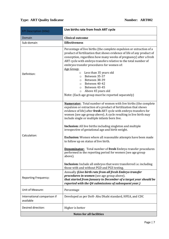### **Type: ART Quality Indicator** *ARTO02*

<span id="page-6-0"></span>

| <b>KPI Description (title):</b>          | Live births rate from fresh ART cycle                                                                                                                                                                                                                                                                                                             |
|------------------------------------------|---------------------------------------------------------------------------------------------------------------------------------------------------------------------------------------------------------------------------------------------------------------------------------------------------------------------------------------------------|
| Domain                                   | <b>Clinical outcome</b>                                                                                                                                                                                                                                                                                                                           |
| Sub-domain                               | <b>Effectiveness</b>                                                                                                                                                                                                                                                                                                                              |
| Definition:                              | Percentage of live births (the complete expulsion or extraction of a<br>product of fertilization that shows evidence of life of any product of<br>conception, regardless how many weeks of pregnancy) after a fresh<br>ART cycle with embryo transfers relative to the total number of<br>embryos transfer procedures for women of:<br>Age Group: |
|                                          | Less than 35 years old<br>$\circ$<br>Between 35-37<br>$\circ$<br>Between 38-39<br>$\circ$<br>Between 40-42                                                                                                                                                                                                                                        |
|                                          | $\circ$<br>Between 43-45<br>$\circ$                                                                                                                                                                                                                                                                                                               |
|                                          | Above 45 years old<br>$\circ$                                                                                                                                                                                                                                                                                                                     |
|                                          | Note: (Each age group must be reported separately)                                                                                                                                                                                                                                                                                                |
| Calculation:                             | <b>Numerator:</b> Total number of women with live births (the complete<br>expulsion or extraction of a product of fertilization that shows<br>evidence of life) after fresh ART cycle with embryo transfers for<br>women (see age group above). A cycle resulting in live birth may<br>include single or multiple infants born live.              |
|                                          | <b>Inclusion:</b> All live births including singleton and multiple<br>irrespective of gestational age and birth weight.                                                                                                                                                                                                                           |
|                                          | <b>Exclusion:</b> Women where all reasonable attempts have been made<br>to follow up on status of live birth.                                                                                                                                                                                                                                     |
|                                          | <b>Denominator:</b> Total number of fresh Embryo transfer procedures<br>performed in the reporting period for women (see age group<br>above).                                                                                                                                                                                                     |
|                                          | <b>Inclusion:</b> Include all embryos that were transferred <i>i.e.</i> including<br>those with and without PGD and PGS testing.                                                                                                                                                                                                                  |
| <b>Reporting Frequency:</b>              | Annually (Live birth rate from all fresh Embryo transfer<br><i>procedures in women</i> (see age group above).<br>that started from January to December of a target year should be<br>reported with the Q4 submissions of subsequent year.)                                                                                                        |
| Unit of Measure:                         | Percentage                                                                                                                                                                                                                                                                                                                                        |
| International comparison if<br>available | Developed as per DoH-Abu Dhabi standard, HFEA, and CDC                                                                                                                                                                                                                                                                                            |
| Desired direction:                       | Higher is better                                                                                                                                                                                                                                                                                                                                  |
| <b>Notes for all facilities</b>          |                                                                                                                                                                                                                                                                                                                                                   |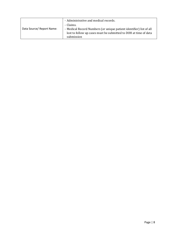| Data Source/ Report Name: | - Administrative and medical records.                               |
|---------------------------|---------------------------------------------------------------------|
|                           | - Claims.                                                           |
|                           | - Medical Record Numbers (or unique patient identifier) list of all |
|                           | lost to follow up cases must be submitted to DOH at time of data    |
|                           | submission                                                          |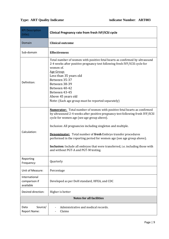### **Type: ART Quality Indicator Indicator Indicator Number: ART003**

<span id="page-8-0"></span>

| <b>KPI Description</b><br>(title):          | Clinical Pregnancy rate from fresh IVF/ICSI cycle                                                                                                                                                                                                                                                                                                                                                                                                                                                                                                            |
|---------------------------------------------|--------------------------------------------------------------------------------------------------------------------------------------------------------------------------------------------------------------------------------------------------------------------------------------------------------------------------------------------------------------------------------------------------------------------------------------------------------------------------------------------------------------------------------------------------------------|
| Domain                                      | <b>Clinical outcome</b>                                                                                                                                                                                                                                                                                                                                                                                                                                                                                                                                      |
| Sub-domain                                  | <b>Effectiveness</b>                                                                                                                                                                                                                                                                                                                                                                                                                                                                                                                                         |
| Definition:                                 | Total number of women with positive fetal hearts as confirmed by ultrasound<br>2-4 weeks after positive pregnancy test following fresh IVF/ICSI cycle for<br>women of.<br>Age Group:<br>Less than 35 years old<br>Between 35-37<br>Between 38-39<br>Between 40-42<br>Between 43-45<br>Above 45 years old<br>Note: (Each age group must be reported separately)                                                                                                                                                                                               |
| Calculation:                                | <b>Numerator:</b> Total number of women with positive fetal hearts as confirmed<br>by ultrasound 2-4 weeks after positive pregnancy test following fresh IVF/ICSI<br>cycle for women age (see age group above).<br>Inclusion: All pregnancies including singleton and multiple.<br><b>Denominator:</b> Total number of fresh Embryo transfer procedures<br>performed in the reporting period for women age (see age group above).<br>Inclusion: Include all embryos that were transferred, i.e. including those with<br>and without PGT-A and PGT-M testing. |
| Reporting<br>Frequency:                     | Quarterly                                                                                                                                                                                                                                                                                                                                                                                                                                                                                                                                                    |
| Unit of Measure:                            | Percentage                                                                                                                                                                                                                                                                                                                                                                                                                                                                                                                                                   |
| International<br>comparison if<br>available | Developed as per DoH standard, HFEA, and CDC                                                                                                                                                                                                                                                                                                                                                                                                                                                                                                                 |
| Desired direction:                          | Higher is better                                                                                                                                                                                                                                                                                                                                                                                                                                                                                                                                             |
| <b>Notes for all facilities</b>             |                                                                                                                                                                                                                                                                                                                                                                                                                                                                                                                                                              |
| Source/<br>Data<br><b>Report Name:</b>      | Administrative and medical records.<br>Claims                                                                                                                                                                                                                                                                                                                                                                                                                                                                                                                |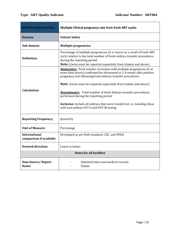<span id="page-9-0"></span>

| <b>KPI Description (title):</b>                 | Multiple Clinical pregnancy rate from fresh ART cycles                                                                                                                                                                                                                                |  |
|-------------------------------------------------|---------------------------------------------------------------------------------------------------------------------------------------------------------------------------------------------------------------------------------------------------------------------------------------|--|
| <b>Domain</b>                                   | <b>Patient Safety</b>                                                                                                                                                                                                                                                                 |  |
| Sub-domain                                      | <b>Multiple pregnancies</b>                                                                                                                                                                                                                                                           |  |
| <b>Definition:</b>                              | Percentage of multiple pregnancies (2 or more) as a result of fresh ART<br>cycle relative to the total number of fresh embryo transfer procedures<br>during the reporting period.<br>Note: (twins must be reported separately from triplets and above)                                |  |
| <b>Calculation:</b>                             | <b>Numerator:</b> Total number of women with multiple pregnancies (2 or<br>more fetal hearts) confirmed by ultrasound at 2-4 weeks after positive<br>pregnancy test following fresh embryo transfer procedures.                                                                       |  |
|                                                 | <b>Note:</b> (twins must be reported separately from triplets and above)<br><b>Denominator:</b> Total number of fresh Embryo transfer procedures<br>performed during the reporting period<br><b>Inclusion:</b> Include all embryos that were transferred, <i>i.e.</i> including those |  |
|                                                 | with and without PGT-A and PGT-M testing.                                                                                                                                                                                                                                             |  |
| <b>Reporting Frequency:</b>                     | Quarterly                                                                                                                                                                                                                                                                             |  |
| <b>Unit of Measure:</b>                         | Percentage                                                                                                                                                                                                                                                                            |  |
| <b>International</b><br>comparison if available | Developed as per DoH standard, CDC, and HFEA                                                                                                                                                                                                                                          |  |
| <b>Desired direction:</b>                       | Lower is better                                                                                                                                                                                                                                                                       |  |
| <b>Notes for all facilities</b>                 |                                                                                                                                                                                                                                                                                       |  |
| Data Source/Report<br>Name:                     | Administrative and medical records.<br>Claims                                                                                                                                                                                                                                         |  |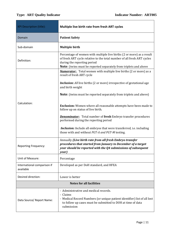<span id="page-10-0"></span>

| <b>KPI Description (title):</b>          | Multiple live birth rate from fresh ART cycles                                                                                                                                                                                                      |  |
|------------------------------------------|-----------------------------------------------------------------------------------------------------------------------------------------------------------------------------------------------------------------------------------------------------|--|
| Domain                                   | <b>Patient Safety</b>                                                                                                                                                                                                                               |  |
| Sub-domain                               | <b>Multiple birth</b>                                                                                                                                                                                                                               |  |
| Definition:                              | Percentage of women with multiple live births (2 or more) as a result<br>of fresh ART cycle relative to the total number of all fresh ART cycles<br>during the reporting period<br>Note: (twins must be reported separately from triplets and above |  |
|                                          | <b>Numerator:</b> Total women with multiple live births (2 or more) as a<br>result of fresh ART cycle                                                                                                                                               |  |
|                                          | <b>Inclusion:</b> All live births (2 or more) irrespective of gestational age<br>and birth weight                                                                                                                                                   |  |
|                                          | <b>Note:</b> (twins must be reported separately from triplets and above)                                                                                                                                                                            |  |
| Calculation:                             | Exclusion: Women where all reasonable attempts have been made to<br>follow up on status of live birth.                                                                                                                                              |  |
|                                          | <b>Denominator:</b> Total number of fresh Embryo transfer procedures<br>performed during the reporting period                                                                                                                                       |  |
|                                          | <b>Inclusion:</b> Include all embryos that were transferred, i.e. including<br>those with and without PGT-A and PGT-M testing.                                                                                                                      |  |
| <b>Reporting Frequency:</b>              | Annually (Live birth rate from all fresh Embryo transfer<br>procedures that started from January to December of a target<br>year should be reported with the Q4 submissions of subsequent<br>year)                                                  |  |
| Unit of Measure:                         | Percentage                                                                                                                                                                                                                                          |  |
| International comparison if<br>available | Developed as per DoH standard, and HFEA                                                                                                                                                                                                             |  |
| Desired direction:                       | Lower is better                                                                                                                                                                                                                                     |  |
| <b>Notes for all facilities</b>          |                                                                                                                                                                                                                                                     |  |
| Data Source/ Report Name:                | - Administrative and medical records.<br>- Claims<br>- Medical Record Numbers (or unique patient identifier) list of all lost<br>to follow up cases must be submitted to DOH at time of data<br>submission                                          |  |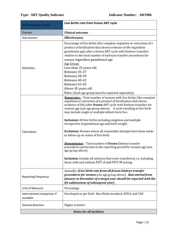<span id="page-11-0"></span>

| <b>KPI Description (title):</b>          | Live births rate from frozen ART cycle                                                                                                                                                                                                                                                                                                                                                                                                                                                                                                                                                                                                                                                                                                                                                                                                                                                                                              |
|------------------------------------------|-------------------------------------------------------------------------------------------------------------------------------------------------------------------------------------------------------------------------------------------------------------------------------------------------------------------------------------------------------------------------------------------------------------------------------------------------------------------------------------------------------------------------------------------------------------------------------------------------------------------------------------------------------------------------------------------------------------------------------------------------------------------------------------------------------------------------------------------------------------------------------------------------------------------------------------|
| Domain                                   | <b>Clinical outcome</b>                                                                                                                                                                                                                                                                                                                                                                                                                                                                                                                                                                                                                                                                                                                                                                                                                                                                                                             |
| Sub-domain                               | <b>Effectiveness</b>                                                                                                                                                                                                                                                                                                                                                                                                                                                                                                                                                                                                                                                                                                                                                                                                                                                                                                                |
| Definition:                              | Percentage of live births (the complete expulsion or extraction of a<br>product of fertilization that shows evidence of life regardless<br>gestational age) after a frozen ART cycle with Embryo transfers<br>relative to the total number of embryos transfer procedures for<br>women regardless gestational age<br>Age Group:                                                                                                                                                                                                                                                                                                                                                                                                                                                                                                                                                                                                     |
|                                          | Less than 35 years old<br>Between 35-37                                                                                                                                                                                                                                                                                                                                                                                                                                                                                                                                                                                                                                                                                                                                                                                                                                                                                             |
|                                          | Between 38-39<br>Between 40-42<br>Between 43-45                                                                                                                                                                                                                                                                                                                                                                                                                                                                                                                                                                                                                                                                                                                                                                                                                                                                                     |
|                                          | Above 45 years old                                                                                                                                                                                                                                                                                                                                                                                                                                                                                                                                                                                                                                                                                                                                                                                                                                                                                                                  |
| Calculation:                             | Note: (Each age group must be reported separately)<br><b>Numerator:</b> Total number of women with live births (the complete<br>expulsion or extraction of a product of fertilization that shows<br>evidence of life) after frozen ART cycle with Embryo transfers for<br>women age (see age group above). A cycle resulting in live birth<br>may include single or multiple infants born live.<br>Inclusion: All live births including singleton and multiple<br>irrespective of gestational age and birth weight.<br><b>Exclusion:</b> Women where all reasonable attempts have been made<br>to follow up on status of live birth.<br><b>Denominator:</b> Total number of frozen Embryo transfer<br>procedures performed in the reporting period for women age (see<br>age group above).<br><b>Inclusion:</b> Include all embryos that were transferred, <i>i.e.</i> including<br>those with and without PGT-A and PGT-M testing. |
| <b>Reporting Frequency:</b>              | Annually: (Live birth rate from all frozen Embryo transfer<br>procedures for women (see age group above). that started from<br>January to December of a target year should be reported with the<br>Q4 submissions of subsequent year)                                                                                                                                                                                                                                                                                                                                                                                                                                                                                                                                                                                                                                                                                               |
| Unit of Measure:                         | Percentage                                                                                                                                                                                                                                                                                                                                                                                                                                                                                                                                                                                                                                                                                                                                                                                                                                                                                                                          |
| International comparison if<br>available | Developed as per DoH- Abu Dhabi standard, HFEA, and CDC                                                                                                                                                                                                                                                                                                                                                                                                                                                                                                                                                                                                                                                                                                                                                                                                                                                                             |
| Desired direction:                       | Higher is better                                                                                                                                                                                                                                                                                                                                                                                                                                                                                                                                                                                                                                                                                                                                                                                                                                                                                                                    |
| <b>Notes for all facilities</b>          |                                                                                                                                                                                                                                                                                                                                                                                                                                                                                                                                                                                                                                                                                                                                                                                                                                                                                                                                     |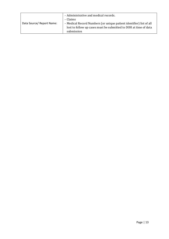|                           | - Administrative and medical records.<br>- Claims                                                                                                     |
|---------------------------|-------------------------------------------------------------------------------------------------------------------------------------------------------|
| Data Source/ Report Name: | - Medical Record Numbers (or unique patient identifier) list of all<br>lost to follow up cases must be submitted to DOH at time of data<br>submission |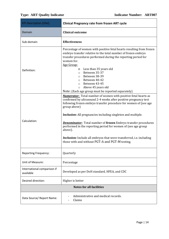<span id="page-13-0"></span>

| <b>KPI Description (title):</b>          | <b>Clinical Pregnancy rate from frozen ART cycle</b>                                                                                                                                                                                                                                                                                                                                                                                                                                                                                                                                       |
|------------------------------------------|--------------------------------------------------------------------------------------------------------------------------------------------------------------------------------------------------------------------------------------------------------------------------------------------------------------------------------------------------------------------------------------------------------------------------------------------------------------------------------------------------------------------------------------------------------------------------------------------|
| Domain                                   | <b>Clinical outcome</b>                                                                                                                                                                                                                                                                                                                                                                                                                                                                                                                                                                    |
| Sub-domain                               | <b>Effectiveness</b>                                                                                                                                                                                                                                                                                                                                                                                                                                                                                                                                                                       |
| Definition:                              | Percentage of women with positive fetal hearts resulting from frozen<br>embryo transfer relative to the total number of frozen embryo<br>transfer procedures performed during the reporting period for<br>women for.<br>Age Group:<br>Less than 35 years old<br>O<br>Between 35-37<br>$\circ$<br>Between 38-39<br>$\circ$<br>Between 40-42<br>$\Omega$<br>Between 43-45<br>$\circ$<br>Above 45 years old<br>$\circ$<br>Note: (Each age group must be reported separately)                                                                                                                  |
| Calculation:                             | <b>Numerator:</b> Total number of women with positive fetal hearts as<br>confirmed by ultrasound 2-4 weeks after positive pregnancy test<br>following frozen embryo transfer procedure for women of (see age<br>group above)<br><b>Inclusion:</b> All pregnancies including singleton and multiple.<br><b>Denominator:</b> Total number of frozen Embryo transfer procedures<br>performed in the reporting period for women of (see age group<br>above).<br><b>Inclusion:</b> Include all embryos that were transferred, i.e. including<br>those with and without PGT-A and PGT-M testing. |
| <b>Reporting Frequency:</b>              | Quarterly                                                                                                                                                                                                                                                                                                                                                                                                                                                                                                                                                                                  |
| Unit of Measure:                         | Percentage                                                                                                                                                                                                                                                                                                                                                                                                                                                                                                                                                                                 |
| International comparison if<br>available | Developed as per DoH standard, HFEA, and CDC                                                                                                                                                                                                                                                                                                                                                                                                                                                                                                                                               |
| Desired direction:                       | Higher is better                                                                                                                                                                                                                                                                                                                                                                                                                                                                                                                                                                           |
|                                          | <b>Notes for all facilities</b>                                                                                                                                                                                                                                                                                                                                                                                                                                                                                                                                                            |
| Data Source/ Report Name:                | Administrative and medical records.<br>Claims                                                                                                                                                                                                                                                                                                                                                                                                                                                                                                                                              |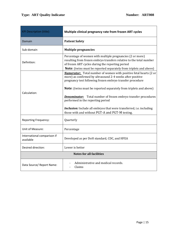<span id="page-14-0"></span>

| <b>KPI Description (title):</b>          | Multiple clinical pregnancy rate from frozen ART cycles                                                                                                                                                                                                   |
|------------------------------------------|-----------------------------------------------------------------------------------------------------------------------------------------------------------------------------------------------------------------------------------------------------------|
| Domain                                   | <b>Patient Safety</b>                                                                                                                                                                                                                                     |
| Sub-domain                               | <b>Multiple pregnancies</b>                                                                                                                                                                                                                               |
| Definition:                              | Percentage of women with multiple pregnancies (2 or more)<br>resulting from frozen embryo transfers relative to the total number<br>of frozen ART cycles during the reporting period<br>Note: (twins must be reported separately from triplets and above) |
|                                          | <b>Numerator:</b> Total number of women with positive fetal hearts (2 or<br>more) as confirmed by ultrasound 2-4 weeks after positive<br>pregnancy test following frozen embryo transfer procedure                                                        |
| Calculation:                             | <b>Note:</b> (twins must be reported separately from triplets and above)<br><b>Denominator:</b> Total number of frozen embryo transfer procedures<br>performed in the reporting period                                                                    |
|                                          | <b>Inclusion:</b> Include all embryos that were transferred, i.e. including<br>those with and without PGT-A and PGT-M testing.                                                                                                                            |
| <b>Reporting Frequency:</b>              | Quarterly                                                                                                                                                                                                                                                 |
| Unit of Measure:                         | Percentage                                                                                                                                                                                                                                                |
| International comparison if<br>available | Developed as per DoH standard, CDC, and HFEA                                                                                                                                                                                                              |
| Desired direction:                       | Lower is better                                                                                                                                                                                                                                           |
| <b>Notes for all facilities</b>          |                                                                                                                                                                                                                                                           |
| Data Source/ Report Name:                | Administrative and medical records.<br>Claims                                                                                                                                                                                                             |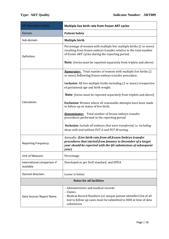<span id="page-15-0"></span>

| <b>KPI Description (title):</b>          | Multiple live birth rate from frozen ART cycles                                                                                                                                                            |
|------------------------------------------|------------------------------------------------------------------------------------------------------------------------------------------------------------------------------------------------------------|
| Domain                                   | <b>Patient Safety</b>                                                                                                                                                                                      |
| Sub-domain                               | <b>Multiple birth</b>                                                                                                                                                                                      |
| Definition:                              | Percentage of women with multiple live multiple births (2 or more)<br>resulting from frozen embryo transfer relative to the total number<br>of frozen ART cycles during the reporting period.              |
|                                          | <b>Note:</b> (twins must be reported separately from triplets and above)                                                                                                                                   |
|                                          | <b>Numerator:</b> Total number of women with multiple live births (2<br>or more) following frozen embryo transfer procedure.                                                                               |
|                                          | Inclusion: All live multiple births including (2 or more) irrespective<br>of gestational age and birth weight.                                                                                             |
|                                          | <b>Note:</b> (twins must be reported separately from triplets and above)                                                                                                                                   |
| Calculation:                             | Exclusion: Women where all reasonable attempts have been made<br>to follow up on status of live birth.                                                                                                     |
|                                          | <b>Denominator:</b> Total number of frozen embryo transfer<br>procedures performed in the reporting period                                                                                                 |
|                                          | <b>Inclusion:</b> Include all embryos that were transferred, i.e. including<br>those with and without PGT-A and PGT-M testing.                                                                             |
| <b>Reporting Frequency:</b>              | Annually: (Live birth rate from all frozen Embryo transfer<br>procedures that started from January to December of a target<br>year should be reported with the Q4 submissions of subsequent<br>year)       |
| Unit of Measure:                         | Percentage                                                                                                                                                                                                 |
| International comparison if<br>available | Developed as per DoH standard, and HFEA                                                                                                                                                                    |
| Desired direction:                       | Lower is better                                                                                                                                                                                            |
|                                          | <b>Notes for all facilities</b>                                                                                                                                                                            |
| Data Source/ Report Name:                | - Administrative and medical records.<br>- Claims<br>- Medical Record Numbers (or unique patient identifier) list of all<br>lost to follow up cases must be submitted to DOH at time of data<br>submission |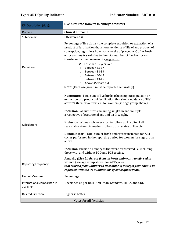<span id="page-16-0"></span>

| <b>KPI Description (title):</b>          | Live birth rate from fresh embryo transfers                                                                                                                                                                                                                                                                                                                                                                                                                                                                                                                                                                                                                                                                                                                    |
|------------------------------------------|----------------------------------------------------------------------------------------------------------------------------------------------------------------------------------------------------------------------------------------------------------------------------------------------------------------------------------------------------------------------------------------------------------------------------------------------------------------------------------------------------------------------------------------------------------------------------------------------------------------------------------------------------------------------------------------------------------------------------------------------------------------|
| Domain                                   | <b>Clinical outcome</b>                                                                                                                                                                                                                                                                                                                                                                                                                                                                                                                                                                                                                                                                                                                                        |
| Sub-domain                               | <b>Effectiveness</b>                                                                                                                                                                                                                                                                                                                                                                                                                                                                                                                                                                                                                                                                                                                                           |
| Definition:                              | Percentage of live births (the complete expulsion or extraction of a<br>product of fertilization that shows evidence of life of any product of<br>conception, regardless how many weeks of pregnancy) after fresh<br>embryo transfers relative to the total number of fresh embryos<br>transferred among women of age groups:<br>Less than 35 years old<br>$\circ$<br>Between 35-37<br>$\circ$<br>Between 38-39<br>$\circ$<br>Between 40-42<br>$\circ$<br>Between 43-45<br>$\circ$<br>Above 45 years old<br>$\circ$<br>Note: (Each age group must be reported separately)                                                                                                                                                                                      |
|                                          |                                                                                                                                                                                                                                                                                                                                                                                                                                                                                                                                                                                                                                                                                                                                                                |
| Calculation:                             | <b>Numerator:</b> Total sum of live births (the complete expulsion or<br>extraction of a product of fertilization that shows evidence of life)<br>after fresh embryo transfers for women (see age group above).<br><b>Inclusion:</b> All live births including singleton and multiple<br>irrespective of gestational age and birth weight.<br><b>Exclusion:</b> Women who were lost to follow up in spite of all<br>reasonable attempts made to follow up on status of live birth.<br><b>Denominator:</b> Total sum of fresh embryos transferred for ART<br>cycles performed in the reporting period for women (see age group<br>above).<br>Inclusion: Include all embryos that were transferred i.e. including<br>those with and without PGD and PGS testing. |
| <b>Reporting Frequency:</b>              | Annually (Live birth rate from all fresh embryos transferred in<br><b>women</b> (see age group above) for ART cycles<br>that started from January to December of a target year should be<br>reported with the Q4 submissions of subsequent year.)                                                                                                                                                                                                                                                                                                                                                                                                                                                                                                              |
| Unit of Measure:                         | Percentage                                                                                                                                                                                                                                                                                                                                                                                                                                                                                                                                                                                                                                                                                                                                                     |
| International comparison if<br>available | Developed as per DoH-Abu Dhabi Standard, HFEA, and CDC                                                                                                                                                                                                                                                                                                                                                                                                                                                                                                                                                                                                                                                                                                         |
| Desired direction:                       | Higher is better                                                                                                                                                                                                                                                                                                                                                                                                                                                                                                                                                                                                                                                                                                                                               |
| <b>Notes for all facilities</b>          |                                                                                                                                                                                                                                                                                                                                                                                                                                                                                                                                                                                                                                                                                                                                                                |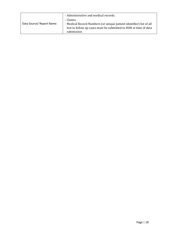| Data Source/ Report Name: | - Administrative and medical records.                                                                                                                |
|---------------------------|------------------------------------------------------------------------------------------------------------------------------------------------------|
|                           | - Claims.<br>- Medical Record Numbers (or unique patient identifier) list of all<br>lost to follow up cases must be submitted to DOH at time of data |
|                           | submission                                                                                                                                           |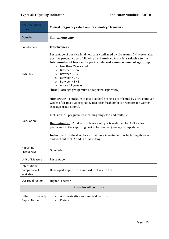<span id="page-18-0"></span>

| <b>KPI Description</b><br>(title):          | Clinical pregnancy rate from fresh embryo transfers                                                                                                                                                                                                                                                                                                                                                                                                                                                                                              |
|---------------------------------------------|--------------------------------------------------------------------------------------------------------------------------------------------------------------------------------------------------------------------------------------------------------------------------------------------------------------------------------------------------------------------------------------------------------------------------------------------------------------------------------------------------------------------------------------------------|
| Domain                                      | <b>Clinical outcome</b>                                                                                                                                                                                                                                                                                                                                                                                                                                                                                                                          |
| Sub-domain                                  | <b>Effectiveness</b>                                                                                                                                                                                                                                                                                                                                                                                                                                                                                                                             |
| Definition:                                 | Percentage of positive fetal hearts as confirmed by ultrasound 2-4 weeks after<br>positive pregnancy test following fresh embryo transfers relative to the<br>total number of fresh embryos transferred among women of age group:<br>Less than 35 years old<br>$\circ$<br>Between 35-37<br>$\circ$<br>Between 38-39<br>$\circ$<br>Between 40-42<br>$\circ$<br>Between 43-45<br>$\circ$<br>Above 45 years old<br>$\circ$<br>Note: (Each age group must be reported separately)                                                                    |
| Calculation:                                | <b>Numerator:</b> Total sum of positive fetal hearts as confirmed by ultrasound 2-4<br>weeks after positive pregnancy test after fresh embryo transfers for women<br>(see age group above).<br>Inclusion: All pregnancies including singleton and multiple.<br><b>Denominator:</b> Total sum of fresh embryos transferred for ART cycles<br>performed in the reporting period for women (see age group above).<br><b>Inclusion:</b> Include all embryos that were transferred, i.e. including those with<br>and without PGT-A and PGT-M testing. |
| Reporting<br>Frequency:                     | Quarterly                                                                                                                                                                                                                                                                                                                                                                                                                                                                                                                                        |
| Unit of Measure:                            | Percentage                                                                                                                                                                                                                                                                                                                                                                                                                                                                                                                                       |
| International<br>comparison if<br>available | Developed as per DoH standard, HFEA, and CDC                                                                                                                                                                                                                                                                                                                                                                                                                                                                                                     |
| Desired direction:                          | Higher is better                                                                                                                                                                                                                                                                                                                                                                                                                                                                                                                                 |
| <b>Notes for all facilities</b>             |                                                                                                                                                                                                                                                                                                                                                                                                                                                                                                                                                  |
| Source/<br>Data<br>Report Name:             | Administrative and medical records.<br>Claims                                                                                                                                                                                                                                                                                                                                                                                                                                                                                                    |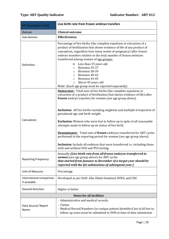# **Type: ART Quality Indicator Indicator Number: ART 012**

<span id="page-19-0"></span>

| <b>KPI Description (title):</b>          | Live birth rate from frozen embryo transfers                                                                                                                                                                                                                                                                                                                                                                                                                                                                                                                                                                                                                                                                                                                         |
|------------------------------------------|----------------------------------------------------------------------------------------------------------------------------------------------------------------------------------------------------------------------------------------------------------------------------------------------------------------------------------------------------------------------------------------------------------------------------------------------------------------------------------------------------------------------------------------------------------------------------------------------------------------------------------------------------------------------------------------------------------------------------------------------------------------------|
| Domain                                   | <b>Clinical outcome</b>                                                                                                                                                                                                                                                                                                                                                                                                                                                                                                                                                                                                                                                                                                                                              |
| Sub-domain                               | <b>Effectiveness</b>                                                                                                                                                                                                                                                                                                                                                                                                                                                                                                                                                                                                                                                                                                                                                 |
| Definition:                              | Percentage of live births (the complete expulsion or extraction of a<br>product of fertilization that shows evidence of life of any product of<br>conception, regardless how many weeks of pregnancy) after frozen<br>embryo transfers relative to the total number of frozen embryos<br>transferred among women of age groups:<br>Less than 35 years old<br>O<br>Between 35-37<br>$\circ$<br>Between 38-39<br>$\circ$<br>Between 40-42<br>$\circ$<br>Between 43-45<br>$\circ$<br>Above 45 years old<br>$\circ$<br>Note: (Each age group must be reported separately)                                                                                                                                                                                                |
| Calculation:                             | <b>Numerator:</b> Total sum of live births (the complete expulsion or<br>extraction of a product of fertilization that shows evidence of life) after<br>frozen embryo transfers for women (see age group above).<br>Inclusion: All live births including singleton and multiple irrespective of<br>gestational age and birth weight.<br><b>Exclusion:</b> Women who were lost to follow up in spite of all reasonable<br>attempts made to follow up on status of live birth.<br><b>Denominator:</b> Total sum of frozen embryos transferred for ART cycles<br>performed in the reporting period for women (see age group above).<br><b>Inclusion:</b> Include all embryos that were transferred <i>i.e.</i> including those<br>with and without PGD and PGS testing. |
| <b>Reporting Frequency:</b>              | Annually (Live birth rate from all frozen embryos transferred in<br>women (see age group above) for ART cycles<br>that started from January to December of a target year should be<br>reported with the Q4 submissions of subsequent year.)                                                                                                                                                                                                                                                                                                                                                                                                                                                                                                                          |
| Unit of Measure:                         | Percentage                                                                                                                                                                                                                                                                                                                                                                                                                                                                                                                                                                                                                                                                                                                                                           |
| International comparison<br>if available | Developed as per DoH-Abu Dhabi Standard, HFEA, and CDC                                                                                                                                                                                                                                                                                                                                                                                                                                                                                                                                                                                                                                                                                                               |
| Desired direction:                       | Higher is better                                                                                                                                                                                                                                                                                                                                                                                                                                                                                                                                                                                                                                                                                                                                                     |
|                                          | <b>Notes for all facilities</b>                                                                                                                                                                                                                                                                                                                                                                                                                                                                                                                                                                                                                                                                                                                                      |
| Data Source/ Report<br>Name:             | - Administrative and medical records.<br>- Claims.<br>- Medical Record Numbers (or unique patient identifier) list of all lost to<br>follow up cases must be submitted to DOH at time of data submission                                                                                                                                                                                                                                                                                                                                                                                                                                                                                                                                                             |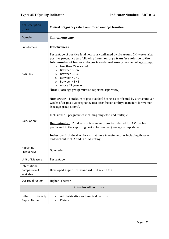<span id="page-20-0"></span>

| <b>KPI Description</b><br>(title):          | Clinical pregnancy rate from frozen embryo transfers                                                                                                                                                                                                                                                                                                                                                                                                                                                                                               |
|---------------------------------------------|----------------------------------------------------------------------------------------------------------------------------------------------------------------------------------------------------------------------------------------------------------------------------------------------------------------------------------------------------------------------------------------------------------------------------------------------------------------------------------------------------------------------------------------------------|
| Domain                                      | <b>Clinical outcome</b>                                                                                                                                                                                                                                                                                                                                                                                                                                                                                                                            |
| Sub-domain                                  | <b>Effectiveness</b>                                                                                                                                                                                                                                                                                                                                                                                                                                                                                                                               |
| Definition:                                 | Percentage of positive fetal hearts as confirmed by ultrasound 2-4 weeks after<br>positive pregnancy test following frozen embryo transfers relative to the<br>total number of frozen embryos transferred among women of age group:<br>Less than 35 years old<br>$\circ$<br>Between 35-37<br>$\circ$<br>Between 38-39<br>$\circ$<br>Between 40-42<br>$\circ$<br>Between 43-45<br>$\circ$<br>Above 45 years old<br>$\circ$<br>Note: (Each age group must be reported separately)                                                                    |
| Calculation:                                | <b>Numerator:</b> Total sum of positive fetal hearts as confirmed by ultrasound 2-4<br>weeks after positive pregnancy test after frozen embryo transfers for women<br>(see age group above).<br>Inclusion: All pregnancies including singleton and multiple.<br><b>Denominator:</b> Total sum of frozen embryos transferred for ART cycles<br>performed in the reporting period for women (see age group above).<br><b>Inclusion:</b> Include all embryos that were transferred, i.e. including those with<br>and without PGT-A and PGT-M testing. |
| Reporting<br>Frequency:                     | Quarterly                                                                                                                                                                                                                                                                                                                                                                                                                                                                                                                                          |
| Unit of Measure:                            | Percentage                                                                                                                                                                                                                                                                                                                                                                                                                                                                                                                                         |
| International<br>comparison if<br>available | Developed as per DoH standard, HFEA, and CDC                                                                                                                                                                                                                                                                                                                                                                                                                                                                                                       |
| Desired direction:                          | Higher is better                                                                                                                                                                                                                                                                                                                                                                                                                                                                                                                                   |
| <b>Notes for all facilities</b>             |                                                                                                                                                                                                                                                                                                                                                                                                                                                                                                                                                    |
| Source/<br>Data<br>Report Name:             | Administrative and medical records.<br>Claims                                                                                                                                                                                                                                                                                                                                                                                                                                                                                                      |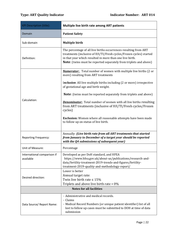<span id="page-21-0"></span>

| <b>KPI Description (title):</b>          | Multiple live birth rate among ART patients                                                                                                                                                                                                                                     |
|------------------------------------------|---------------------------------------------------------------------------------------------------------------------------------------------------------------------------------------------------------------------------------------------------------------------------------|
| Domain                                   | <b>Patient Safety</b>                                                                                                                                                                                                                                                           |
| Sub-domain                               | <b>Multiple birth</b>                                                                                                                                                                                                                                                           |
| Definition:                              | The percentage of all live births occurrences resulting from ART<br>treatments (inclusive of IUI/TI/Fresh cycles/Frozen cycles) started<br>in that year which resulted in more than one live birth.<br><b>Note:</b> (twins must be reported separately from triplets and above) |
|                                          | <b>Numerator:</b> Total number of women with multiple live births (2 or<br>more) resulting from ART treatments                                                                                                                                                                  |
|                                          | Inclusion: All live multiple births including (2 or more) irrespective<br>of gestational age and birth weight.                                                                                                                                                                  |
|                                          | <b>Note:</b> (twins must be reported separately from triplets and above)                                                                                                                                                                                                        |
| Calculation:                             | <b>Denominator:</b> Total number of women with all live births resulting<br>from ART treatments (inclusive of IUI/TI/Fresh cycles/Frozen<br>cycles)                                                                                                                             |
|                                          | <b>Exclusion:</b> Women where all reasonable attempts have been made<br>to follow up on status of live birth.                                                                                                                                                                   |
| <b>Reporting Frequency:</b>              | Annually: (Live birth rate from all ART treatments that started<br>from January to December of a target year should be reported<br>with the Q4 submissions of subsequent year)                                                                                                  |
| Unit of Measure:                         | Percentage                                                                                                                                                                                                                                                                      |
| International comparison if<br>available | Developed as per DoH standard, and HFEA<br>https://www.hfea.gov.uk/about-us/publications/research-and-<br>data/fertility-treatment-2019-trends-and-figures/fertility-<br>treatment-2019-quality-and-methodology-report/                                                         |
| Desired direction:                       | Lower is better<br>Annual target rate:<br>Twin live birth rate $\leq 15\%$<br>Triplets and above live birth rate = $0\%$                                                                                                                                                        |
| <b>Notes for all facilities</b>          |                                                                                                                                                                                                                                                                                 |
| Data Source/ Report Name:                | - Administrative and medical records.<br>- Claims<br>- Medical Record Numbers (or unique patient identifier) list of all<br>lost to follow up cases must be submitted to DOH at time of data<br>submission                                                                      |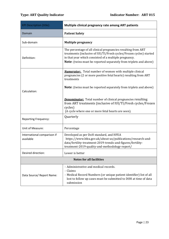<span id="page-22-0"></span>

| <b>KPI Description (title):</b>          | Multiple clinical pregnancy rate among ART patients                                                                                                                                                                                                                |  |
|------------------------------------------|--------------------------------------------------------------------------------------------------------------------------------------------------------------------------------------------------------------------------------------------------------------------|--|
| Domain                                   | <b>Patient Safety</b>                                                                                                                                                                                                                                              |  |
| Sub-domain                               | <b>Multiple pregnancy</b>                                                                                                                                                                                                                                          |  |
| Definition:                              | The percentage of all clinical pregnancies resulting from ART<br>treatments (inclusive of IUI/TI/Fresh cycles/Frozen cycles) started<br>in that year which consisted of a multiple pregnancy.<br>Note: (twins must be reported separately from triplets and above) |  |
|                                          | <b>Numerator:</b> Total number of women with multiple clinical<br>pregnancies (2 or more positive fetal hearts) resulting from ART<br>treatments                                                                                                                   |  |
| Calculation:                             | <b>Note:</b> (twins must be reported separately from triplets and above)                                                                                                                                                                                           |  |
|                                          | <b>Denominator:</b> Total number of clinical pregnancies resulting<br>from ART treatments (inclusive of IUI/TI/Fresh cycles/Frozen<br>cycles)<br>(A cycle where one or more fetal hearts are seen).                                                                |  |
| <b>Reporting Frequency:</b>              | Quarterly                                                                                                                                                                                                                                                          |  |
| Unit of Measure:                         | Percentage                                                                                                                                                                                                                                                         |  |
| International comparison if<br>available | Developed as per DoH standard, and HFEA<br>https://www.hfea.gov.uk/about-us/publications/research-and-<br>data/fertility-treatment-2019-trends-and-figures/fertility-<br>treatment-2019-quality-and-methodology-report/                                            |  |
| Desired direction:                       | Lower is better                                                                                                                                                                                                                                                    |  |
| <b>Notes for all facilities</b>          |                                                                                                                                                                                                                                                                    |  |
| Data Source/ Report Name:                | - Administrative and medical records.<br>- Claims<br>- Medical Record Numbers (or unique patient identifier) list of all<br>lost to follow up cases must be submitted to DOH at time of data<br>submission                                                         |  |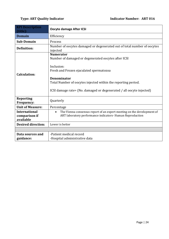# <span id="page-23-0"></span>**Type: ART Quality Indicator Contracts Contracts Contracts ART 016**

| <b>KPI</b> Description<br>(title):                 | <b>Oocyte damage After ICSI</b>                                                                                                                                                                                                                                                          |
|----------------------------------------------------|------------------------------------------------------------------------------------------------------------------------------------------------------------------------------------------------------------------------------------------------------------------------------------------|
| <b>Domain</b>                                      | Efficiency                                                                                                                                                                                                                                                                               |
| Sub-Domain                                         | Process                                                                                                                                                                                                                                                                                  |
| <b>Definition:</b>                                 | Number of oocytes damaged or degenerated out of total number of oocytes<br>injected                                                                                                                                                                                                      |
| <b>Calculation:</b>                                | <b>Numerator</b><br>Number of damaged or degenerated oocytes after ICSI<br>Inclusion:<br>Fresh and Frozen ejaculated spermatozoa<br>Denominator<br>Total Number of oocytes injected within the reporting period.<br>ICSI damage rate= (No. damaged or degenerated / all oocyte injected) |
| <b>Reporting</b><br><b>Frequency:</b>              | Quarterly                                                                                                                                                                                                                                                                                |
| <b>Unit of Measure:</b>                            | Percentage                                                                                                                                                                                                                                                                               |
| <b>International</b><br>comparison if<br>available | The Vienna consensus report of an expert meeting on the development of<br>$\bullet$<br>ART laboratory performance indicators- Human Reproduction                                                                                                                                         |
| <b>Desired direction:</b>                          | Lower is better                                                                                                                                                                                                                                                                          |
|                                                    |                                                                                                                                                                                                                                                                                          |
| Data sources and<br>guidance:                      | -Patient medical record<br>-Hospital administrative data                                                                                                                                                                                                                                 |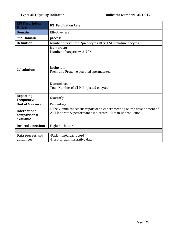<span id="page-24-0"></span>

| <b>KPI Description</b><br>(title):                 | <b>ICSI Fertilization Rate</b>                                                                                                                                            |
|----------------------------------------------------|---------------------------------------------------------------------------------------------------------------------------------------------------------------------------|
| <b>Domain</b>                                      | Effectiveness                                                                                                                                                             |
| Sub-Domain                                         | process                                                                                                                                                                   |
| <b>Definition:</b>                                 | Number of fertilized 2pn oocytes after ICSI of mature oocytes                                                                                                             |
| <b>Calculation:</b>                                | <b>Numerator</b><br>Number of oocytes with 2PN<br>Inclusion:<br>Fresh and Frozen ejaculated spermatozoa<br><b>Denominator</b><br>Total Number of all MII injected oocytes |
| <b>Reporting</b><br>Frequency:                     | Quarterly                                                                                                                                                                 |
| <b>Unit of Measure:</b>                            | Percentage                                                                                                                                                                |
| <b>International</b><br>comparison if<br>available | • The Vienna consensus report of an expert meeting on the development of<br>ART laboratory performance indicators- Human Reproduction                                     |
| <b>Desired direction:</b>                          | Higher is better                                                                                                                                                          |
|                                                    |                                                                                                                                                                           |
| Data sources and<br>guidance:                      | -Patient medical record<br>-Hospital administrative data                                                                                                                  |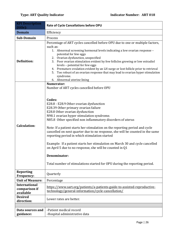<span id="page-25-0"></span>

| <b>KPI</b> Description<br>(title):                 | Rate of Cycle Cancellations before OPU                                                                                                                                                                                                                                                                                                                                                                                                                                                                                                                                                                                                                                                                                                                       |
|----------------------------------------------------|--------------------------------------------------------------------------------------------------------------------------------------------------------------------------------------------------------------------------------------------------------------------------------------------------------------------------------------------------------------------------------------------------------------------------------------------------------------------------------------------------------------------------------------------------------------------------------------------------------------------------------------------------------------------------------------------------------------------------------------------------------------|
| <b>Domain</b>                                      | Efficiency                                                                                                                                                                                                                                                                                                                                                                                                                                                                                                                                                                                                                                                                                                                                                   |
| Sub-Domain                                         | Process                                                                                                                                                                                                                                                                                                                                                                                                                                                                                                                                                                                                                                                                                                                                                      |
| <b>Definition:</b>                                 | Percentage of ART cycles cancelled before OPU due to one or multiple factors,<br>such as:<br>1. Abnormal screening hormonal levels indicating a low ovarian response -<br>potential for few eggs<br>2. Ovarian dysfunction, unspecified<br>3. Poor ovarian stimulation evident by few follicles growing or low estradiol<br>levels - potential for few eggs<br>4. Premature ovulation evident by an LH surge or lost follicle prior to retrieval<br>Too robust of an ovarian response that may lead to ovarian hyper stimulation<br>5.<br>syndrome.<br>6. Abnormal uterine lining                                                                                                                                                                            |
| <b>Calculation:</b>                                | Numerator:<br>Number of ART cycles cancelled before OPU<br>Codes:<br>E28.8 - E28.9 Other ovarian dysfunction<br>E28.39 Other primary ovarian failure<br>E28.8 Other ovarian dysfunction<br>N98.1 ovarian hyper stimulation syndrome.<br>N85.8 Other specified non inflammatory disorders of uterus<br>Note: If a patient starts her stimulation on the reporting period and cycle<br>cancelled on next quarter due to no response, she will be counted in the same<br>reporting period in which stimulation started<br>Example: If a patient starts her stimulation on March 30 and cycle cancelled<br>on April 5 due to no response, she will be counted in Q1<br>Denominator:<br>Total number of stimulations started for OPU during the reporting period. |
| <b>Reporting</b><br>Frequency:                     | Quarterly                                                                                                                                                                                                                                                                                                                                                                                                                                                                                                                                                                                                                                                                                                                                                    |
| <b>Unit of Measure:</b>                            | Percentage                                                                                                                                                                                                                                                                                                                                                                                                                                                                                                                                                                                                                                                                                                                                                   |
| <b>International</b><br>comparison if<br>available | https://www.sart.org/patients/a-patients-guide-to-assisted-reproductive-<br>technology/general-information/cycle-cancellation/                                                                                                                                                                                                                                                                                                                                                                                                                                                                                                                                                                                                                               |
| <b>Desired</b><br>direction:                       | Lower rates are better.                                                                                                                                                                                                                                                                                                                                                                                                                                                                                                                                                                                                                                                                                                                                      |
|                                                    |                                                                                                                                                                                                                                                                                                                                                                                                                                                                                                                                                                                                                                                                                                                                                              |
| Data sources and<br>guidance:                      | -Patient medical record<br>-Hospital administrative data                                                                                                                                                                                                                                                                                                                                                                                                                                                                                                                                                                                                                                                                                                     |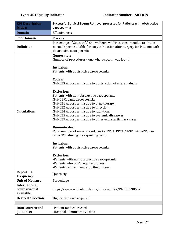<span id="page-26-0"></span>

| <b>KPI Description</b>                             | Successful Surgical Sperm Retrieval processes for Patients with obstructive                                                                                                                                                                                                                                                                                                                                                                                                                                                                                                                                                                                                                                                          |
|----------------------------------------------------|--------------------------------------------------------------------------------------------------------------------------------------------------------------------------------------------------------------------------------------------------------------------------------------------------------------------------------------------------------------------------------------------------------------------------------------------------------------------------------------------------------------------------------------------------------------------------------------------------------------------------------------------------------------------------------------------------------------------------------------|
| (title):                                           | azoospermia                                                                                                                                                                                                                                                                                                                                                                                                                                                                                                                                                                                                                                                                                                                          |
| <b>Domain</b>                                      | Effectiveness                                                                                                                                                                                                                                                                                                                                                                                                                                                                                                                                                                                                                                                                                                                        |
| Sub-Domain                                         | Process                                                                                                                                                                                                                                                                                                                                                                                                                                                                                                                                                                                                                                                                                                                              |
| <b>Definition:</b>                                 | Percentage of Successful Sperm Retrieval Processes intended to obtain<br>normal sperm suitable for oocyte injection after surgery for Patients with<br>obstructive azoospermia                                                                                                                                                                                                                                                                                                                                                                                                                                                                                                                                                       |
| <b>Calculation:</b>                                | Numerator:<br>Number of procedures done where sperm was found<br><b>Inclusion:</b><br>Patients with obstructive azoospermia<br>Codes:<br>N46.023 Azoospermia due to obstruction of efferent ducts<br><b>Exclusion:</b><br>Patients with non-obstructive azoospermia<br>N46.01 Organic azoospermia,<br>N46.021 Azoospermia due to drug therapy,<br>N46.022 Azoospermia due to infection,<br>N46.024 Azoospermia due to radiation,<br>N46.025 Azoospermia due to systemic disease &<br>N46.029 Azoospermia due to other extra testicular causes.<br>Denominator:<br>Total number of male procedures i.e. TESA, PESA, TESE, microTESE or<br>oncoTESE during the reporting period<br>Inclusion:<br>Patients with obstructive azoospermia |
|                                                    | <b>Exclusion:</b><br>-Patients with non-obstructive azoospermia<br>-Patients who don't require process.<br>-Patients refuse to undergo the process.                                                                                                                                                                                                                                                                                                                                                                                                                                                                                                                                                                                  |
| <b>Reporting</b><br>Frequency:                     | Quarterly                                                                                                                                                                                                                                                                                                                                                                                                                                                                                                                                                                                                                                                                                                                            |
| <b>Unit of Measure:</b>                            | Percentage                                                                                                                                                                                                                                                                                                                                                                                                                                                                                                                                                                                                                                                                                                                           |
| <b>International</b><br>comparison if<br>available | https://www.ncbi.nlm.nih.gov/pmc/articles/PMC8279053/                                                                                                                                                                                                                                                                                                                                                                                                                                                                                                                                                                                                                                                                                |
| <b>Desired direction:</b>                          | Higher rates are required.                                                                                                                                                                                                                                                                                                                                                                                                                                                                                                                                                                                                                                                                                                           |
|                                                    |                                                                                                                                                                                                                                                                                                                                                                                                                                                                                                                                                                                                                                                                                                                                      |
| Data sources and<br>guidance:                      | -Patient medical record<br>-Hospital administrative data                                                                                                                                                                                                                                                                                                                                                                                                                                                                                                                                                                                                                                                                             |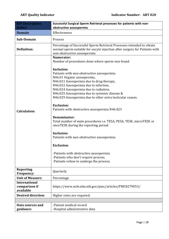<span id="page-27-0"></span>

| <b>KPI Description</b>                             | Successful Surgical Sperm Retrieval processes for patients with non-                                                                                                                                                                                                                                                 |
|----------------------------------------------------|----------------------------------------------------------------------------------------------------------------------------------------------------------------------------------------------------------------------------------------------------------------------------------------------------------------------|
| (title):                                           | obstructive azoospermia                                                                                                                                                                                                                                                                                              |
| <b>Domain</b>                                      | Effectiveness                                                                                                                                                                                                                                                                                                        |
| Sub-Domain                                         | Process                                                                                                                                                                                                                                                                                                              |
| <b>Definition:</b>                                 | Percentage of Successful Sperm Retrieval Processes intended to obtain<br>normal sperm suitable for oocyte injection after surgery for Patients with<br>non-obstructive azoospermia                                                                                                                                   |
|                                                    | Numerator:<br>Number of procedures done where sperm was found<br>Inclusion:                                                                                                                                                                                                                                          |
|                                                    | Patients with non-obstructive azoospermia<br>N46.01 Organic azoospermia,<br>N46.021 Azoospermia due to drug therapy,<br>N46.022 Azoospermia due to infection,<br>N46.024 Azoospermia due to radiation,<br>N46.025 Azoospermia due to systemic disease &<br>N46.029 Azoospermia due to other extra testicular causes. |
| <b>Calculation:</b>                                | <b>Exclusion:</b><br>Patients with obstructive azoospermia N46.023<br>Denominator:<br>Total number of male procedures <i>i.e.</i> TESA, PESA, TESE, microTESE or<br>oncoTESE during the reporting period                                                                                                             |
|                                                    | <b>Inclusion:</b><br>Patients with non-obstructive azoospermia<br><b>Exclusion:</b><br>-Patients with obstructive azoospermia<br>-Patients who don't require process.<br>-Patients refuse to undergo the process.                                                                                                    |
| <b>Reporting</b><br><b>Frequency:</b>              | Quarterly                                                                                                                                                                                                                                                                                                            |
| <b>Unit of Measure:</b>                            | Percentage                                                                                                                                                                                                                                                                                                           |
| <b>International</b><br>comparison if<br>available | https://www.ncbi.nlm.nih.gov/pmc/articles/PMC8279053/                                                                                                                                                                                                                                                                |
| <b>Desired direction:</b>                          | Higher rates are required.                                                                                                                                                                                                                                                                                           |
|                                                    |                                                                                                                                                                                                                                                                                                                      |
| Data sources and<br>guidance:                      | -Patient medical record<br>-Hospital administrative data                                                                                                                                                                                                                                                             |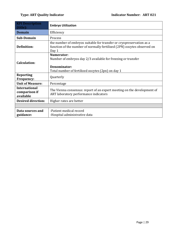<span id="page-28-0"></span>

| <b>KPI Description</b><br>(title):                 | <b>Embryo Utilization</b>                                                                                                                                |
|----------------------------------------------------|----------------------------------------------------------------------------------------------------------------------------------------------------------|
| <b>Domain</b>                                      | Efficiency                                                                                                                                               |
| <b>Sub-Domain</b>                                  | Process                                                                                                                                                  |
| <b>Definition:</b>                                 | the number of embryos suitable for transfer or cryopreservation as a<br>function of the number of normally fertilized (2PN) oocytes observed on<br>Day 1 |
| <b>Calculation:</b>                                | Numerator:<br>Number of embryos day 2/3 available for freezing or transfer<br>Denominator:<br>Total number of fertilized oocytes (2pn) on day 1          |
| <b>Reporting</b><br><b>Frequency:</b>              | Quarterly                                                                                                                                                |
| <b>Unit of Measure:</b>                            | Percentage                                                                                                                                               |
| <b>International</b><br>comparison if<br>available | The Vienna consensus: report of an expert meeting on the development of<br>ART laboratory performance indicators                                         |
| <b>Desired direction:</b>                          | Higher rates are better                                                                                                                                  |
|                                                    |                                                                                                                                                          |
| Data sources and<br>guidance:                      | -Patient medical record<br>-Hospital administrative data                                                                                                 |